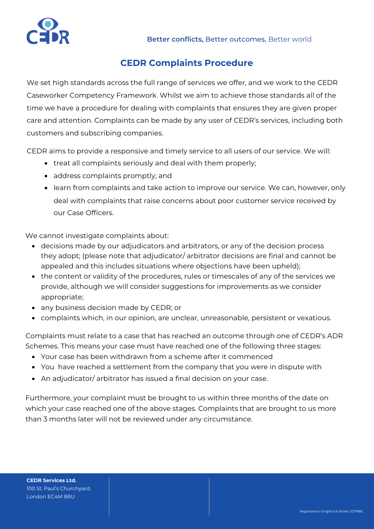

## **CEDR Complaints Procedure**

We set high standards across the full range of services we offer, and we work to the CEDR Caseworker Competency Framework. Whilst we aim to achieve those standards all of the time we have a procedure for dealing with complaints that ensures they are given proper care and attention. Complaints can be made by any user of CEDR's services, including both customers and subscribing companies.

CEDR aims to provide a responsive and timely service to all users of our service. We will:

- treat all complaints seriously and deal with them properly;
- address complaints promptly; and
- learn from complaints and take action to improve our service. We can, however, only deal with complaints that raise concerns about poor customer service received by our Case Officers.

We cannot investigate complaints about:

- decisions made by our adjudicators and arbitrators, or any of the decision process they adopt; (please note that adjudicator/ arbitrator decisions are final and cannot be appealed and this includes situations where objections have been upheld);
- the content or validity of the procedures, rules or timescales of any of the services we provide, although we will consider suggestions for improvements as we consider appropriate;
- any business decision made by CEDR; or
- complaints which, in our opinion, are unclear, unreasonable, persistent or vexatious.

Complaints must relate to a case that has reached an outcome through one of CEDR's ADR Schemes. This means your case must have reached one of the following three stages:

- Your case has been withdrawn from a scheme after it commenced
- You have reached a settlement from the company that you were in dispute with
- An adjudicator/ arbitrator has issued a final decision on your case.

Furthermore, your complaint must be brought to us within three months of the date on which your case reached one of the above stages. Complaints that are brought to us more than 3 months later will not be reviewed under any circumstance.

**CEDR Services Ltd.** 100 St. Paul's Churchyard, London EC4M 8BU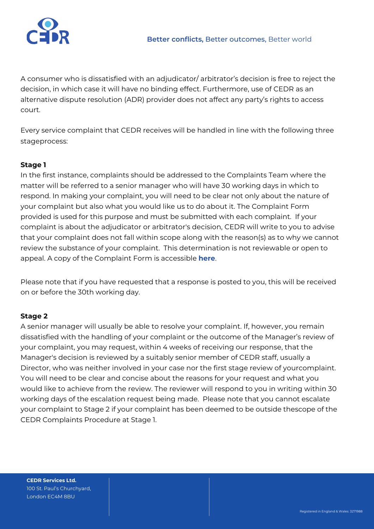

A consumer who is dissatisfied with an adjudicator/ arbitrator's decision is free to reject the decision, in which case it will have no binding effect. Furthermore, use of CEDR as an alternative dispute resolution (ADR) provider does not affect any party's rights to access court.

Every service complaint that CEDR receives will be handled in line with the following three stageprocess:

## **Stage 1**

In the first instance, complaints should be addressed to the Complaints Team where the matter will be referred to a senior manager who will have 30 working days in which to respond. In making your complaint, you will need to be clear not only about the nature of your complaint but also what you would like us to do about it. The Complaint Form provided is used for this purpose and must be submitted with each complaint. If your complaint is about the adjudicator or arbitrator's decision, CEDR will write to you to advise that your complaint does not fall within scope along with the reason(s) as to why we cannot review the substance of your complaint. This determination is not reviewable or open to appeal. A copy of the Complaint Form is accessible **[here](https://www.cedr.com/wp-content/uploads/2020/11/CEDR-Consumer-Complaints-Form-v2-1.pdf)**.

Please note that if you have requested that a response is posted to you, this will be received on or before the 30th working day.

## **Stage 2**

A senior manager will usually be able to resolve your complaint. If, however, you remain dissatisfied with the handling of your complaint or the outcome of the Manager's review of your complaint, you may request, within 4 weeks of receiving our response, that the Manager's decision is reviewed by a suitably senior member of CEDR staff, usually a Director, who was neither involved in your case nor the first stage review of yourcomplaint. You will need to be clear and concise about the reasons for your request and what you would like to achieve from the review. The reviewer will respond to you in writing within 30 working days of the escalation request being made. Please note that you cannot escalate your complaint to Stage 2 if your complaint has been deemed to be outside thescope of the CEDR Complaints Procedure at Stage 1.

**CEDR Services Ltd.** 100 St. Paul's Churchyard, London EC4M 8BU